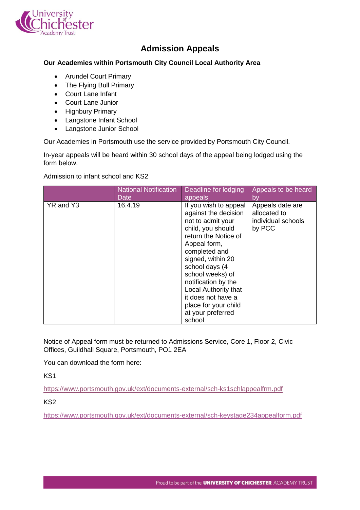

## **Admission Appeals**

## **Our Academies within Portsmouth City Council Local Authority Area**

- Arundel Court Primary
- The Flying Bull Primary
- Court Lane Infant
- Court Lane Junior
- Highbury Primary
- Langstone Infant School
- Langstone Junior School

Our Academies in Portsmouth use the service provided by Portsmouth City Council.

In-year appeals will be heard within 30 school days of the appeal being lodged using the form below.

Admission to infant school and KS2

|           | <b>National Notification</b> | Deadline for lodging                                                                                                                                                                                                                                                                                                                    | Appeals to be heard                                              |
|-----------|------------------------------|-----------------------------------------------------------------------------------------------------------------------------------------------------------------------------------------------------------------------------------------------------------------------------------------------------------------------------------------|------------------------------------------------------------------|
|           | <b>Date</b>                  | appeals                                                                                                                                                                                                                                                                                                                                 | by                                                               |
| YR and Y3 | 16.4.19                      | If you wish to appeal<br>against the decision<br>not to admit your<br>child, you should<br>return the Notice of<br>Appeal form,<br>completed and<br>signed, within 20<br>school days (4<br>school weeks) of<br>notification by the<br>Local Authority that<br>it does not have a<br>place for your child<br>at your preferred<br>school | Appeals date are<br>allocated to<br>individual schools<br>by PCC |

Notice of Appeal form must be returned to Admissions Service, Core 1, Floor 2, Civic Offices, Guildhall Square, Portsmouth, PO1 2EA

You can download the form here:

KS1

<https://www.portsmouth.gov.uk/ext/documents-external/sch-ks1schlappealfrm.pdf>

KS2

<https://www.portsmouth.gov.uk/ext/documents-external/sch-keystage234appealform.pdf>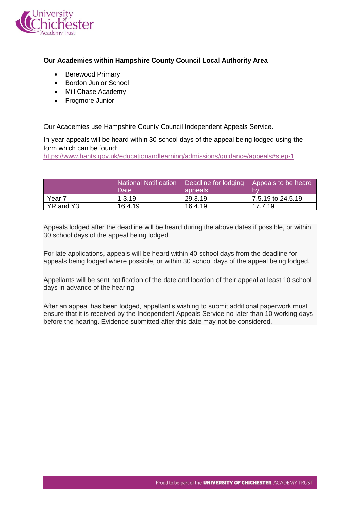

## **Our Academies within Hampshire County Council Local Authority Area**

- Berewood Primary
- Bordon Junior School
- Mill Chase Academy
- Frogmore Junior

Our Academies use Hampshire County Council Independent Appeals Service.

In-year appeals will be heard within 30 school days of the appeal being lodged using the form which can be found:

<https://www.hants.gov.uk/educationandlearning/admissions/guidance/appeals#step-1>

|                   | <b>National Notification</b><br><b>Date</b> | Deadline for lodging   Appeals to be heard<br>appeals | <b>b</b>          |
|-------------------|---------------------------------------------|-------------------------------------------------------|-------------------|
| Year <sub>7</sub> | 1.3.19                                      | 29.3.19                                               | 7.5.19 to 24.5.19 |
| YR and Y3         | 16.4.19                                     | 16.4.19                                               | 17.7.19           |

Appeals lodged after the deadline will be heard during the above dates if possible, or within 30 school days of the appeal being lodged.

For late applications, appeals will be heard within 40 school days from the deadline for appeals being lodged where possible, or within 30 school days of the appeal being lodged.

Appellants will be sent notification of the date and location of their appeal at least 10 school days in advance of the hearing.

After an appeal has been lodged, appellant's wishing to submit additional paperwork must ensure that it is received by the Independent Appeals Service no later than 10 working days before the hearing. Evidence submitted after this date may not be considered.